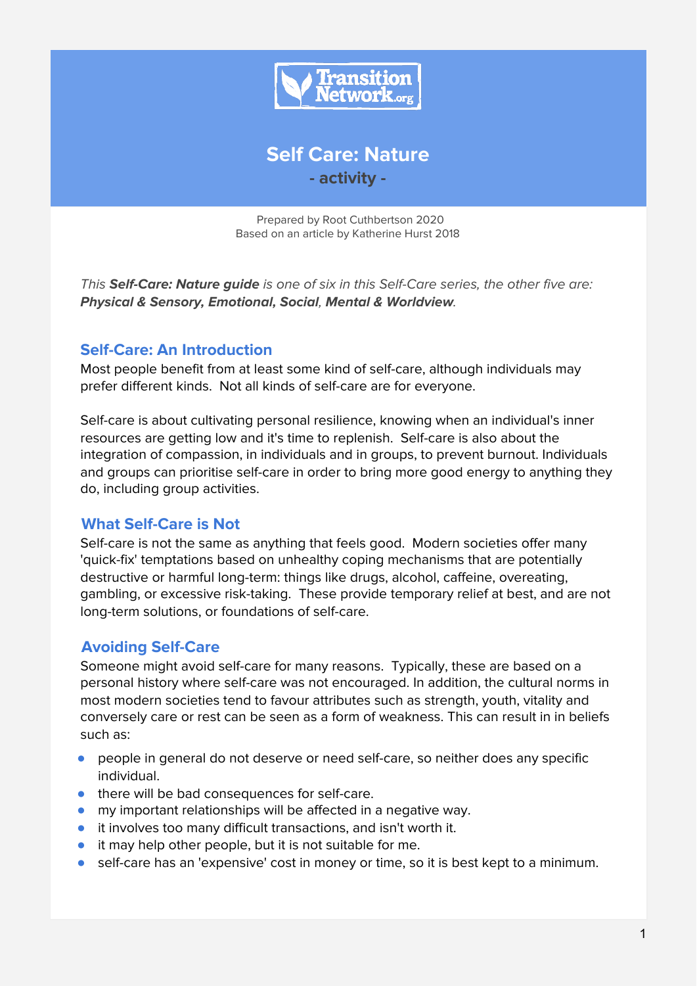

**Self Care: Nature - activity -**

Prepared by Root Cuthbertson 2020 Based on an article by Katherine Hurst 2018

This **Self-Care: Nature guide** is one of six in this Self-Care series, the other five are: **Physical & Sensory, Emotional, Social**, **Mental & Worldview**.

### **Self-Care: An Introduction**

Most people benefit from at least some kind of self-care, although individuals may prefer different kinds. Not all kinds of self-care are for everyone.

Self-care is about cultivating personal resilience, knowing when an individual's inner resources are getting low and it's time to replenish. Self-care is also about the integration of compassion, in individuals and in groups, to prevent burnout. Individuals and groups can prioritise self-care in order to bring more good energy to anything they do, including group activities.

# **What Self-Care is Not**

Self-care is not the same as anything that feels good. Modern societies offer many 'quick-fix' temptations based on unhealthy coping mechanisms that are potentially destructive or harmful long-term: things like drugs, alcohol, caffeine, overeating, gambling, or excessive risk-taking. These provide temporary relief at best, and are not long-term solutions, or foundations of self-care.

# **Avoiding Self-Care**

Someone might avoid self-care for many reasons. Typically, these are based on a personal history where self-care was not encouraged. In addition, the cultural norms in most modern societies tend to favour attributes such as strength, youth, vitality and conversely care or rest can be seen as a form of weakness. This can result in in beliefs such as:

- people in general do not deserve or need self-care, so neither does any specific individual.
- there will be bad consequences for self-care.
- my important relationships will be affected in a negative way.
- it involves too many difficult transactions, and isn't worth it.
- it may help other people, but it is not suitable for me.
- self-care has an 'expensive' cost in money or time, so it is best kept to a minimum.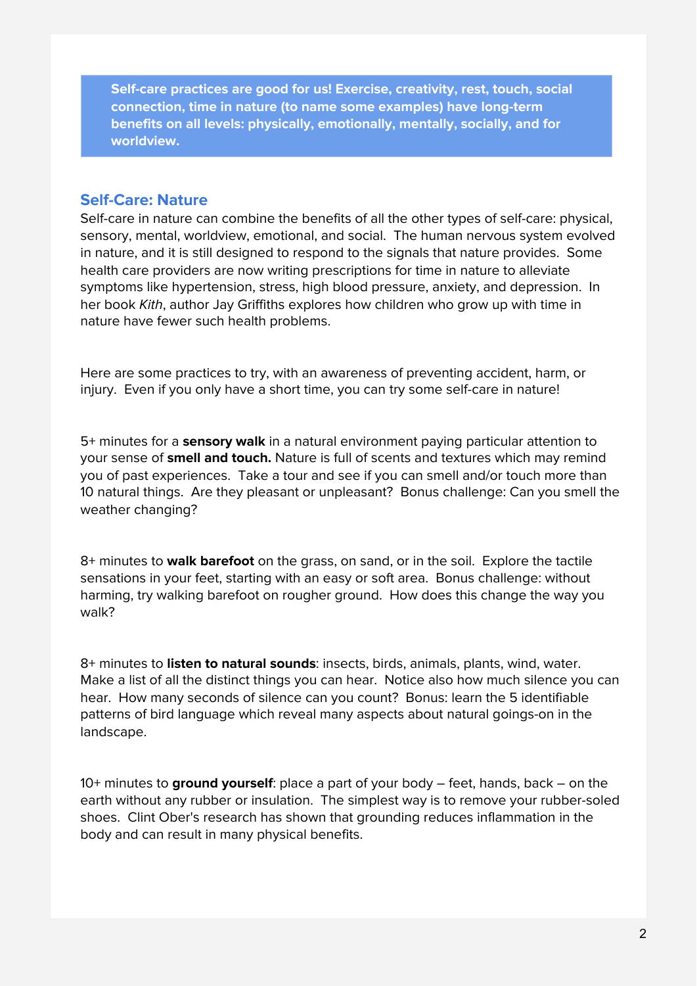**Self-care practices are good for us! Exercise, creativity, rest, touch, social connection, time in nature (to name some examples) have long-term benefits on all levels: physically, emotionally, mentally, socially, and for worldview.**

### **Self-Care: Nature**

Self-care in nature can combine the benefits of all the other types of self-care: physical, sensory, mental, worldview, emotional, and social. The human nervous system evolved in nature, and it is still designed to respond to the signals that nature provides. Some health care providers are now writing prescriptions for time in nature to alleviate symptoms like hypertension, stress, high blood pressure, anxiety, and depression. In her book Kith, author Jay Griffiths explores how children who grow up with time in nature have fewer such health problems.

Here are some practices to try, with an awareness of preventing accident, harm, or injury. Even if you only have a short time, you can try some self-care in nature!

5+ minutes for a **sensory walk** in a natural environment paying particular attention to your sense of **smell and touch.** Nature is full of scents and textures which may remind you of past experiences. Take a tour and see if you can smell and/or touch more than 10 natural things. Are they pleasant or unpleasant? Bonus challenge: Can you smell the weather changing?

8+ minutes to **walk barefoot** on the grass, on sand, or in the soil. Explore the tactile sensations in your feet, starting with an easy or soft area. Bonus challenge: without harming, try walking barefoot on rougher ground. How does this change the way you walk?

8+ minutes to **listen to natural sounds**: insects, birds, animals, plants, wind, water. Make a list of all the distinct things you can hear. Notice also how much silence you can hear. How many seconds of silence can you count? Bonus: learn the 5 identifiable patterns of bird language which reveal many aspects about natural goings-on in the landscape.

10+ minutes to **ground yourself**: place a part of your body – feet, hands, back – on the earth without any rubber or insulation. The simplest way is to remove your rubber-soled shoes. Clint Ober's research has shown that grounding reduces inflammation in the body and can result in many physical benefits.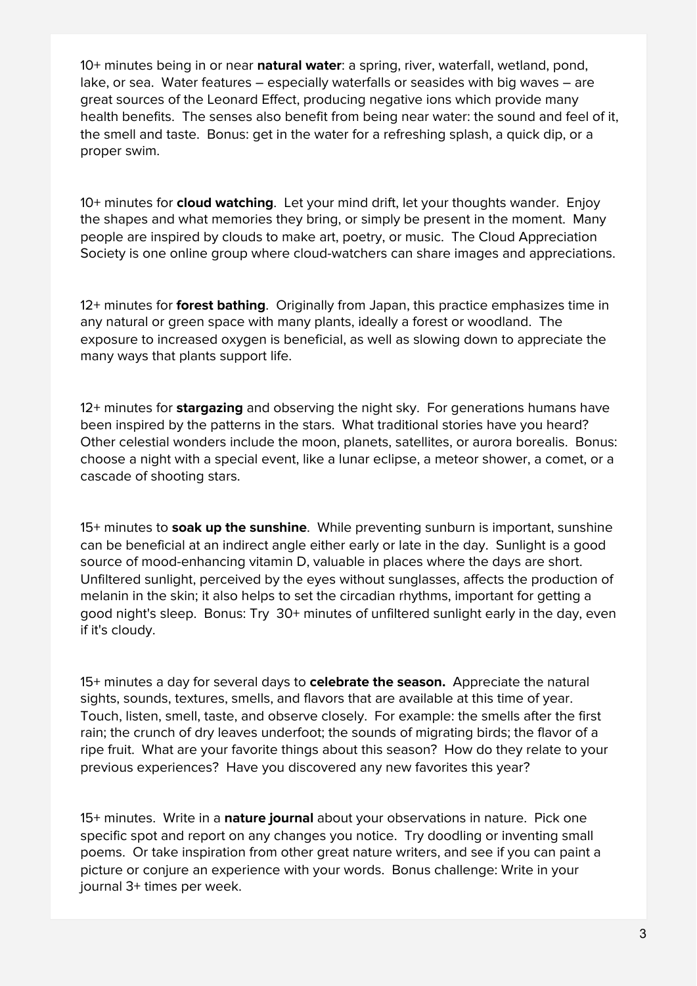10+ minutes being in or near **natural water**: a spring, river, waterfall, wetland, pond, lake, or sea. Water features – especially waterfalls or seasides with big waves – are great sources of the Leonard Effect, producing negative ions which provide many health benefits. The senses also benefit from being near water: the sound and feel of it, the smell and taste. Bonus: get in the water for a refreshing splash, a quick dip, or a proper swim.

10+ minutes for **cloud watching**. Let your mind drift, let your thoughts wander. Enjoy the shapes and what memories they bring, or simply be present in the moment. Many people are inspired by clouds to make art, poetry, or music. The Cloud Appreciation Society is one online group where cloud-watchers can share images and appreciations.

12+ minutes for **forest bathing**. Originally from Japan, this practice emphasizes time in any natural or green space with many plants, ideally a forest or woodland. The exposure to increased oxygen is beneficial, as well as slowing down to appreciate the many ways that plants support life.

12+ minutes for **stargazing** and observing the night sky. For generations humans have been inspired by the patterns in the stars. What traditional stories have you heard? Other celestial wonders include the moon, planets, satellites, or aurora borealis. Bonus: choose a night with a special event, like a lunar eclipse, a meteor shower, a comet, or a cascade of shooting stars.

15+ minutes to **soak up the sunshine**. While preventing sunburn is important, sunshine can be beneficial at an indirect angle either early or late in the day. Sunlight is a good source of mood-enhancing vitamin D, valuable in places where the days are short. Unfiltered sunlight, perceived by the eyes without sunglasses, affects the production of melanin in the skin; it also helps to set the circadian rhythms, important for getting a good night's sleep. Bonus: Try 30+ minutes of unfiltered sunlight early in the day, even if it's cloudy.

15+ minutes a day for several days to **celebrate the season.** Appreciate the natural sights, sounds, textures, smells, and flavors that are available at this time of year. Touch, listen, smell, taste, and observe closely. For example: the smells after the first rain; the crunch of dry leaves underfoot; the sounds of migrating birds; the flavor of a ripe fruit. What are your favorite things about this season? How do they relate to your previous experiences? Have you discovered any new favorites this year?

15+ minutes. Write in a **nature journal** about your observations in nature. Pick one specific spot and report on any changes you notice. Try doodling or inventing small poems. Or take inspiration from other great nature writers, and see if you can paint a picture or conjure an experience with your words. Bonus challenge: Write in your journal 3+ times per week.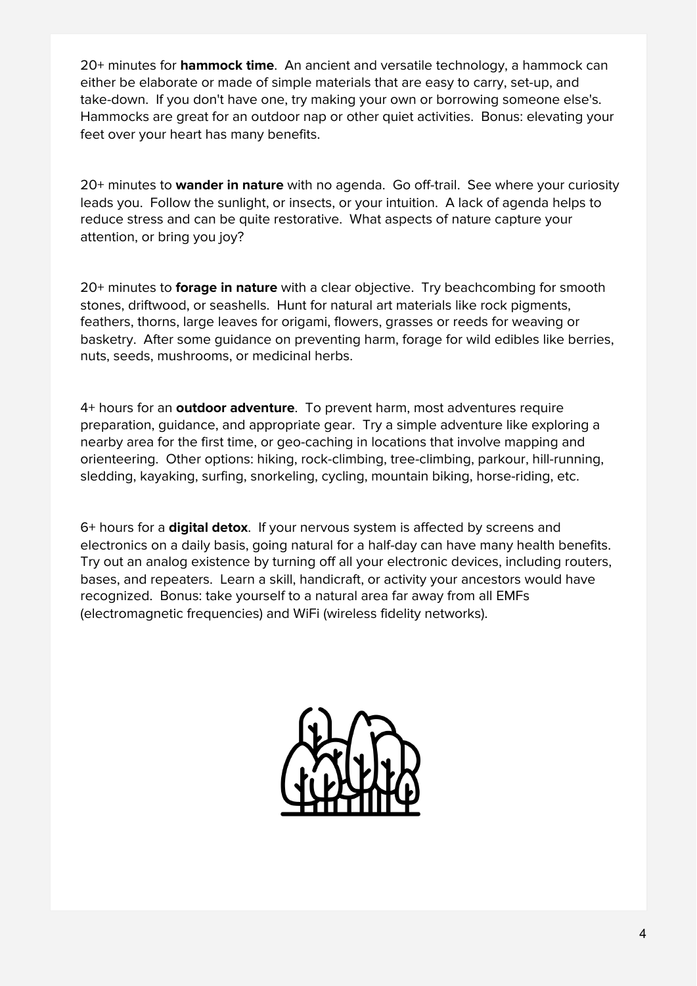20+ minutes for **hammock time**. An ancient and versatile technology, a hammock can either be elaborate or made of simple materials that are easy to carry, set-up, and take-down. If you don't have one, try making your own or borrowing someone else's. Hammocks are great for an outdoor nap or other quiet activities. Bonus: elevating your feet over your heart has many benefits.

20+ minutes to **wander in nature** with no agenda. Go off-trail. See where your curiosity leads you. Follow the sunlight, or insects, or your intuition. A lack of agenda helps to reduce stress and can be quite restorative. What aspects of nature capture your attention, or bring you joy?

20+ minutes to **forage in nature** with a clear objective. Try beachcombing for smooth stones, driftwood, or seashells. Hunt for natural art materials like rock pigments, feathers, thorns, large leaves for origami, flowers, grasses or reeds for weaving or basketry. After some guidance on preventing harm, forage for wild edibles like berries, nuts, seeds, mushrooms, or medicinal herbs.

4+ hours for an **outdoor adventure**. To prevent harm, most adventures require preparation, guidance, and appropriate gear. Try a simple adventure like exploring a nearby area for the first time, or geo-caching in locations that involve mapping and orienteering. Other options: hiking, rock-climbing, tree-climbing, parkour, hill-running, sledding, kayaking, surfing, snorkeling, cycling, mountain biking, horse-riding, etc.

6+ hours for a **digital detox**. If your nervous system is affected by screens and electronics on a daily basis, going natural for a half-day can have many health benefits. Try out an analog existence by turning off all your electronic devices, including routers, bases, and repeaters. Learn a skill, handicraft, or activity your ancestors would have recognized. Bonus: take yourself to a natural area far away from all EMFs (electromagnetic frequencies) and WiFi (wireless fidelity networks).